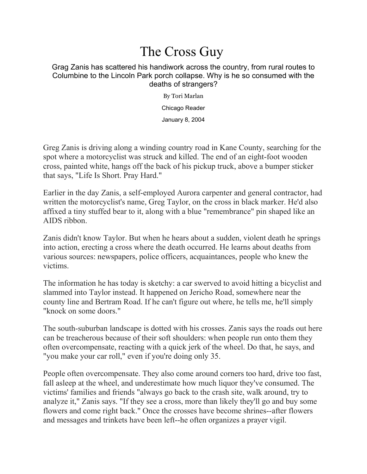## The Cross Guy

## Grag Zanis has scattered his handiwork across the country, from rural routes to Columbine to the Lincoln Park porch collapse. Why is he so consumed with the deaths of strangers?

By [Tori Marlan](https://www.chicagoreader.com/author/tori-marlan) Chicago Reader January 8, 2004

Greg Zanis is driving along a winding country road in Kane County, searching for the spot where a motorcyclist was struck and killed. The end of an eight-foot wooden cross, painted white, hangs off the back of his pickup truck, above a bumper sticker that says, "Life Is Short. Pray Hard."

Earlier in the day Zanis, a self-employed Aurora carpenter and general contractor, had written the motorcyclist's name, Greg Taylor, on the cross in black marker. He'd also affixed a tiny stuffed bear to it, along with a blue "remembrance" pin shaped like an AIDS ribbon.

Zanis didn't know Taylor. But when he hears about a sudden, violent death he springs into action, erecting a cross where the death occurred. He learns about deaths from various sources: newspapers, police officers, acquaintances, people who knew the victims.

The information he has today is sketchy: a car swerved to avoid hitting a bicyclist and slammed into Taylor instead. It happened on Jericho Road, somewhere near the county line and Bertram Road. If he can't figure out where, he tells me, he'll simply "knock on some doors."

The south-suburban landscape is dotted with his crosses. Zanis says the roads out here can be treacherous because of their soft shoulders: when people run onto them they often overcompensate, reacting with a quick jerk of the wheel. Do that, he says, and "you make your car roll," even if you're doing only 35.

People often overcompensate. They also come around corners too hard, drive too fast, fall asleep at the wheel, and underestimate how much liquor they've consumed. The victims' families and friends "always go back to the crash site, walk around, try to analyze it," Zanis says. "If they see a cross, more than likely they'll go and buy some flowers and come right back." Once the crosses have become shrines--after flowers and messages and trinkets have been left--he often organizes a prayer vigil.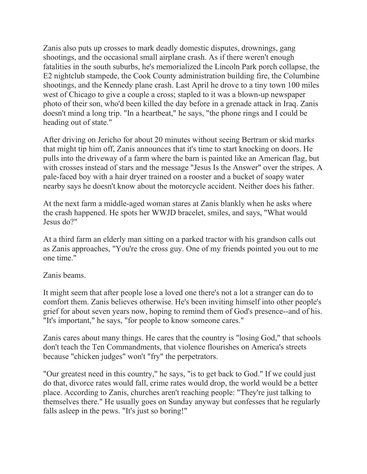Zanis also puts up crosses to mark deadly domestic disputes, drownings, gang shootings, and the occasional small airplane crash. As if there weren't enough fatalities in the south suburbs, he's memorialized the Lincoln Park porch collapse, the E2 nightclub stampede, the Cook County administration building fire, the Columbine shootings, and the Kennedy plane crash. Last April he drove to a tiny town 100 miles west of Chicago to give a couple a cross; stapled to it was a blown-up newspaper photo of their son, who'd been killed the day before in a grenade attack in Iraq. Zanis doesn't mind a long trip. "In a heartbeat," he says, "the phone rings and I could be heading out of state."

After driving on Jericho for about 20 minutes without seeing Bertram or skid marks that might tip him off, Zanis announces that it's time to start knocking on doors. He pulls into the driveway of a farm where the barn is painted like an American flag, but with crosses instead of stars and the message "Jesus Is the Answer" over the stripes. A pale-faced boy with a hair dryer trained on a rooster and a bucket of soapy water nearby says he doesn't know about the motorcycle accident. Neither does his father.

At the next farm a middle-aged woman stares at Zanis blankly when he asks where the crash happened. He spots her WWJD bracelet, smiles, and says, "What would Jesus do?"

At a third farm an elderly man sitting on a parked tractor with his grandson calls out as Zanis approaches, "You're the cross guy. One of my friends pointed you out to me one time."

## Zanis beams.

It might seem that after people lose a loved one there's not a lot a stranger can do to comfort them. Zanis believes otherwise. He's been inviting himself into other people's grief for about seven years now, hoping to remind them of God's presence--and of his. "It's important," he says, "for people to know someone cares."

Zanis cares about many things. He cares that the country is "losing God," that schools don't teach the Ten Commandments, that violence flourishes on America's streets because "chicken judges" won't "fry" the perpetrators.

"Our greatest need in this country," he says, "is to get back to God." If we could just do that, divorce rates would fall, crime rates would drop, the world would be a better place. According to Zanis, churches aren't reaching people: "They're just talking to themselves there." He usually goes on Sunday anyway but confesses that he regularly falls asleep in the pews. "It's just so boring!"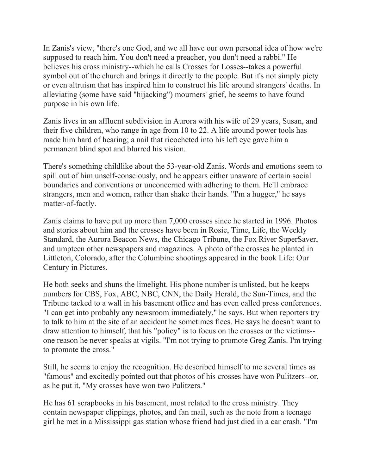In Zanis's view, "there's one God, and we all have our own personal idea of how we're supposed to reach him. You don't need a preacher, you don't need a rabbi." He believes his cross ministry--which he calls Crosses for Losses--takes a powerful symbol out of the church and brings it directly to the people. But it's not simply piety or even altruism that has inspired him to construct his life around strangers' deaths. In alleviating (some have said "hijacking") mourners' grief, he seems to have found purpose in his own life.

Zanis lives in an affluent subdivision in Aurora with his wife of 29 years, Susan, and their five children, who range in age from 10 to 22. A life around power tools has made him hard of hearing; a nail that ricocheted into his left eye gave him a permanent blind spot and blurred his vision.

There's something childlike about the 53-year-old Zanis. Words and emotions seem to spill out of him unself-consciously, and he appears either unaware of certain social boundaries and conventions or unconcerned with adhering to them. He'll embrace strangers, men and women, rather than shake their hands. "I'm a hugger," he says matter-of-factly.

Zanis claims to have put up more than 7,000 crosses since he started in 1996. Photos and stories about him and the crosses have been in Rosie, Time, Life, the Weekly Standard, the Aurora Beacon News, the Chicago Tribune, the Fox River SuperSaver, and umpteen other newspapers and magazines. A photo of the crosses he planted in Littleton, Colorado, after the Columbine shootings appeared in the book Life: Our Century in Pictures.

He both seeks and shuns the limelight. His phone number is unlisted, but he keeps numbers for CBS, Fox, ABC, NBC, CNN, the Daily Herald, the Sun-Times, and the Tribune tacked to a wall in his basement office and has even called press conferences. "I can get into probably any newsroom immediately," he says. But when reporters try to talk to him at the site of an accident he sometimes flees. He says he doesn't want to draw attention to himself, that his "policy" is to focus on the crosses or the victims- one reason he never speaks at vigils. "I'm not trying to promote Greg Zanis. I'm trying to promote the cross."

Still, he seems to enjoy the recognition. He described himself to me several times as "famous" and excitedly pointed out that photos of his crosses have won Pulitzers--or, as he put it, "My crosses have won two Pulitzers."

He has 61 scrapbooks in his basement, most related to the cross ministry. They contain newspaper clippings, photos, and fan mail, such as the note from a teenage girl he met in a Mississippi gas station whose friend had just died in a car crash. "I'm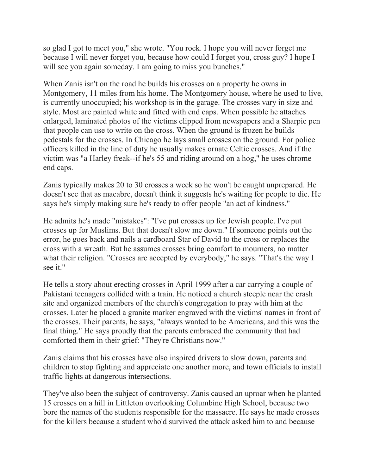so glad I got to meet you," she wrote. "You rock. I hope you will never forget me because I will never forget you, because how could I forget you, cross guy? I hope I will see you again someday. I am going to miss you bunches."

When Zanis isn't on the road he builds his crosses on a property he owns in Montgomery, 11 miles from his home. The Montgomery house, where he used to live, is currently unoccupied; his workshop is in the garage. The crosses vary in size and style. Most are painted white and fitted with end caps. When possible he attaches enlarged, laminated photos of the victims clipped from newspapers and a Sharpie pen that people can use to write on the cross. When the ground is frozen he builds pedestals for the crosses. In Chicago he lays small crosses on the ground. For police officers killed in the line of duty he usually makes ornate Celtic crosses. And if the victim was "a Harley freak--if he's 55 and riding around on a hog," he uses chrome end caps.

Zanis typically makes 20 to 30 crosses a week so he won't be caught unprepared. He doesn't see that as macabre, doesn't think it suggests he's waiting for people to die. He says he's simply making sure he's ready to offer people "an act of kindness."

He admits he's made "mistakes": "I've put crosses up for Jewish people. I've put crosses up for Muslims. But that doesn't slow me down." If someone points out the error, he goes back and nails a cardboard Star of David to the cross or replaces the cross with a wreath. But he assumes crosses bring comfort to mourners, no matter what their religion. "Crosses are accepted by everybody," he says. "That's the way I see it."

He tells a story about erecting crosses in April 1999 after a car carrying a couple of Pakistani teenagers collided with a train. He noticed a church steeple near the crash site and organized members of the church's congregation to pray with him at the crosses. Later he placed a granite marker engraved with the victims' names in front of the crosses. Their parents, he says, "always wanted to be Americans, and this was the final thing." He says proudly that the parents embraced the community that had comforted them in their grief: "They're Christians now."

Zanis claims that his crosses have also inspired drivers to slow down, parents and children to stop fighting and appreciate one another more, and town officials to install traffic lights at dangerous intersections.

They've also been the subject of controversy. Zanis caused an uproar when he planted 15 crosses on a hill in Littleton overlooking Columbine High School, because two bore the names of the students responsible for the massacre. He says he made crosses for the killers because a student who'd survived the attack asked him to and because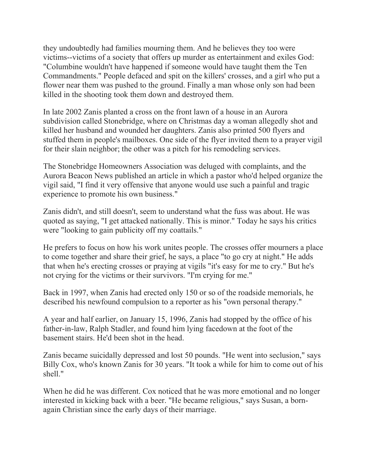they undoubtedly had families mourning them. And he believes they too were victims--victims of a society that offers up murder as entertainment and exiles God: "Columbine wouldn't have happened if someone would have taught them the Ten Commandments." People defaced and spit on the killers' crosses, and a girl who put a flower near them was pushed to the ground. Finally a man whose only son had been killed in the shooting took them down and destroyed them.

In late 2002 Zanis planted a cross on the front lawn of a house in an Aurora subdivision called Stonebridge, where on Christmas day a woman allegedly shot and killed her husband and wounded her daughters. Zanis also printed 500 flyers and stuffed them in people's mailboxes. One side of the flyer invited them to a prayer vigil for their slain neighbor; the other was a pitch for his remodeling services.

The Stonebridge Homeowners Association was deluged with complaints, and the Aurora Beacon News published an article in which a pastor who'd helped organize the vigil said, "I find it very offensive that anyone would use such a painful and tragic experience to promote his own business."

Zanis didn't, and still doesn't, seem to understand what the fuss was about. He was quoted as saying, "I get attacked nationally. This is minor." Today he says his critics were "looking to gain publicity off my coattails."

He prefers to focus on how his work unites people. The crosses offer mourners a place to come together and share their grief, he says, a place "to go cry at night." He adds that when he's erecting crosses or praying at vigils "it's easy for me to cry." But he's not crying for the victims or their survivors. "I'm crying for me."

Back in 1997, when Zanis had erected only 150 or so of the roadside memorials, he described his newfound compulsion to a reporter as his "own personal therapy."

A year and half earlier, on January 15, 1996, Zanis had stopped by the office of his father-in-law, Ralph Stadler, and found him lying facedown at the foot of the basement stairs. He'd been shot in the head.

Zanis became suicidally depressed and lost 50 pounds. "He went into seclusion," says Billy Cox, who's known Zanis for 30 years. "It took a while for him to come out of his shell."

When he did he was different. Cox noticed that he was more emotional and no longer interested in kicking back with a beer. "He became religious," says Susan, a bornagain Christian since the early days of their marriage.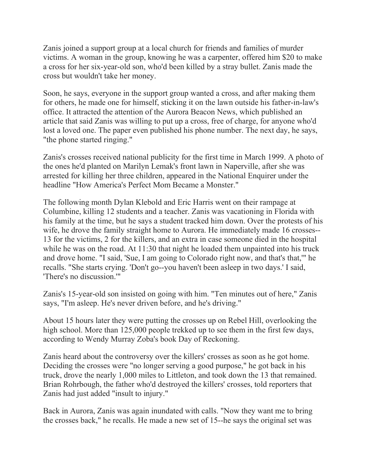Zanis joined a support group at a local church for friends and families of murder victims. A woman in the group, knowing he was a carpenter, offered him \$20 to make a cross for her six-year-old son, who'd been killed by a stray bullet. Zanis made the cross but wouldn't take her money.

Soon, he says, everyone in the support group wanted a cross, and after making them for others, he made one for himself, sticking it on the lawn outside his father-in-law's office. It attracted the attention of the Aurora Beacon News, which published an article that said Zanis was willing to put up a cross, free of charge, for anyone who'd lost a loved one. The paper even published his phone number. The next day, he says, "the phone started ringing."

Zanis's crosses received national publicity for the first time in March 1999. A photo of the ones he'd planted on Marilyn Lemak's front lawn in Naperville, after she was arrested for killing her three children, appeared in the National Enquirer under the headline "How America's Perfect Mom Became a Monster."

The following month Dylan Klebold and Eric Harris went on their rampage at Columbine, killing 12 students and a teacher. Zanis was vacationing in Florida with his family at the time, but he says a student tracked him down. Over the protests of his wife, he drove the family straight home to Aurora. He immediately made 16 crosses-- 13 for the victims, 2 for the killers, and an extra in case someone died in the hospital while he was on the road. At 11:30 that night he loaded them unpainted into his truck and drove home. "I said, 'Sue, I am going to Colorado right now, and that's that,'" he recalls. "She starts crying. 'Don't go--you haven't been asleep in two days.' I said, 'There's no discussion.'"

Zanis's 15-year-old son insisted on going with him. "Ten minutes out of here," Zanis says, "I'm asleep. He's never driven before, and he's driving."

About 15 hours later they were putting the crosses up on Rebel Hill, overlooking the high school. More than 125,000 people trekked up to see them in the first few days, according to Wendy Murray Zoba's book Day of Reckoning.

Zanis heard about the controversy over the killers' crosses as soon as he got home. Deciding the crosses were "no longer serving a good purpose," he got back in his truck, drove the nearly 1,000 miles to Littleton, and took down the 13 that remained. Brian Rohrbough, the father who'd destroyed the killers' crosses, told reporters that Zanis had just added "insult to injury."

Back in Aurora, Zanis was again inundated with calls. "Now they want me to bring the crosses back," he recalls. He made a new set of 15--he says the original set was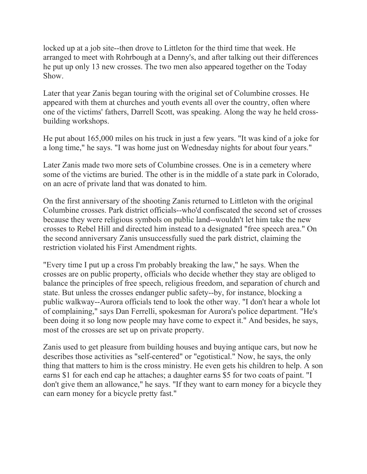locked up at a job site--then drove to Littleton for the third time that week. He arranged to meet with Rohrbough at a Denny's, and after talking out their differences he put up only 13 new crosses. The two men also appeared together on the Today Show.

Later that year Zanis began touring with the original set of Columbine crosses. He appeared with them at churches and youth events all over the country, often where one of the victims' fathers, Darrell Scott, was speaking. Along the way he held crossbuilding workshops.

He put about 165,000 miles on his truck in just a few years. "It was kind of a joke for a long time," he says. "I was home just on Wednesday nights for about four years."

Later Zanis made two more sets of Columbine crosses. One is in a cemetery where some of the victims are buried. The other is in the middle of a state park in Colorado, on an acre of private land that was donated to him.

On the first anniversary of the shooting Zanis returned to Littleton with the original Columbine crosses. Park district officials--who'd confiscated the second set of crosses because they were religious symbols on public land--wouldn't let him take the new crosses to Rebel Hill and directed him instead to a designated "free speech area." On the second anniversary Zanis unsuccessfully sued the park district, claiming the restriction violated his First Amendment rights.

"Every time I put up a cross I'm probably breaking the law," he says. When the crosses are on public property, officials who decide whether they stay are obliged to balance the principles of free speech, religious freedom, and separation of church and state. But unless the crosses endanger public safety--by, for instance, blocking a public walkway--Aurora officials tend to look the other way. "I don't hear a whole lot of complaining," says Dan Ferrelli, spokesman for Aurora's police department. "He's been doing it so long now people may have come to expect it." And besides, he says, most of the crosses are set up on private property.

Zanis used to get pleasure from building houses and buying antique cars, but now he describes those activities as "self-centered" or "egotistical." Now, he says, the only thing that matters to him is the cross ministry. He even gets his children to help. A son earns \$1 for each end cap he attaches; a daughter earns \$5 for two coats of paint. "I don't give them an allowance," he says. "If they want to earn money for a bicycle they can earn money for a bicycle pretty fast."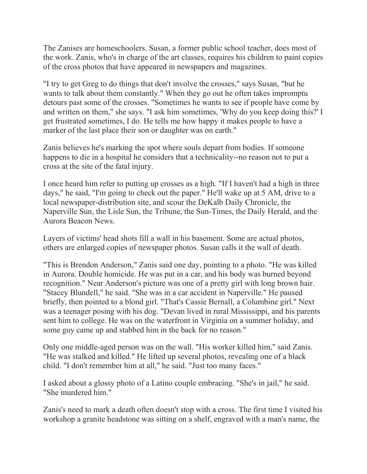The Zanises are homeschoolers. Susan, a former public school teacher, does most of the work. Zanis, who's in charge of the art classes, requires his children to paint copies of the cross photos that have appeared in newspapers and magazines.

"I try to get Greg to do things that don't involve the crosses," says Susan, "but he wants to talk about them constantly." When they go out he often takes impromptu detours past some of the crosses. "Sometimes he wants to see if people have come by and written on them," she says. "I ask him sometimes, 'Why do you keep doing this?' I get frustrated sometimes, I do. He tells me how happy it makes people to have a marker of the last place their son or daughter was on earth."

Zanis believes he's marking the spot where souls depart from bodies. If someone happens to die in a hospital he considers that a technicality--no reason not to put a cross at the site of the fatal injury.

I once heard him refer to putting up crosses as a high. "If I haven't had a high in three days," he said, "I'm going to check out the paper." He'll wake up at 5 AM, drive to a local newspaper-distribution site, and scour the DeKalb Daily Chronicle, the Naperville Sun, the Lisle Sun, the Tribune, the Sun-Times, the Daily Herald, and the Aurora Beacon News.

Layers of victims' head shots fill a wall in his basement. Some are actual photos, others are enlarged copies of newspaper photos. Susan calls it the wall of death.

"This is Brendon Anderson," Zanis said one day, pointing to a photo. "He was killed in Aurora. Double homicide. He was put in a car, and his body was burned beyond recognition." Near Anderson's picture was one of a pretty girl with long brown hair. "Stacey Blundell," he said. "She was in a car accident in Naperville." He paused briefly, then pointed to a blond girl. "That's Cassie Bernall, a Columbine girl." Next was a teenager posing with his dog. "Devan lived in rural Mississippi, and his parents sent him to college. He was on the waterfront in Virginia on a summer holiday, and some guy came up and stabbed him in the back for no reason."

Only one middle-aged person was on the wall. "His worker killed him," said Zanis. "He was stalked and killed." He lifted up several photos, revealing one of a black child. "I don't remember him at all," he said. "Just too many faces."

I asked about a glossy photo of a Latino couple embracing. "She's in jail," he said. "She murdered him."

Zanis's need to mark a death often doesn't stop with a cross. The first time I visited his workshop a granite headstone was sitting on a shelf, engraved with a man's name, the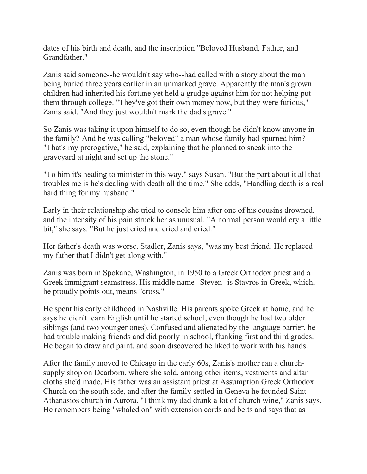dates of his birth and death, and the inscription "Beloved Husband, Father, and Grandfather."

Zanis said someone--he wouldn't say who--had called with a story about the man being buried three years earlier in an unmarked grave. Apparently the man's grown children had inherited his fortune yet held a grudge against him for not helping put them through college. "They've got their own money now, but they were furious," Zanis said. "And they just wouldn't mark the dad's grave."

So Zanis was taking it upon himself to do so, even though he didn't know anyone in the family? And he was calling "beloved" a man whose family had spurned him? "That's my prerogative," he said, explaining that he planned to sneak into the graveyard at night and set up the stone."

"To him it's healing to minister in this way," says Susan. "But the part about it all that troubles me is he's dealing with death all the time." She adds, "Handling death is a real hard thing for my husband."

Early in their relationship she tried to console him after one of his cousins drowned, and the intensity of his pain struck her as unusual. "A normal person would cry a little bit," she says. "But he just cried and cried and cried."

Her father's death was worse. Stadler, Zanis says, "was my best friend. He replaced my father that I didn't get along with."

Zanis was born in Spokane, Washington, in 1950 to a Greek Orthodox priest and a Greek immigrant seamstress. His middle name--Steven--is Stavros in Greek, which, he proudly points out, means "cross."

He spent his early childhood in Nashville. His parents spoke Greek at home, and he says he didn't learn English until he started school, even though he had two older siblings (and two younger ones). Confused and alienated by the language barrier, he had trouble making friends and did poorly in school, flunking first and third grades. He began to draw and paint, and soon discovered he liked to work with his hands.

After the family moved to Chicago in the early 60s, Zanis's mother ran a churchsupply shop on Dearborn, where she sold, among other items, vestments and altar cloths she'd made. His father was an assistant priest at Assumption Greek Orthodox Church on the south side, and after the family settled in Geneva he founded Saint Athanasios church in Aurora. "I think my dad drank a lot of church wine," Zanis says. He remembers being "whaled on" with extension cords and belts and says that as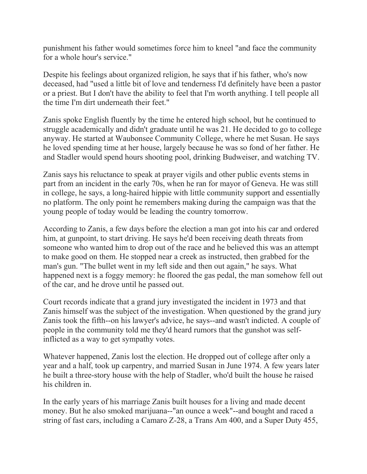punishment his father would sometimes force him to kneel "and face the community for a whole hour's service."

Despite his feelings about organized religion, he says that if his father, who's now deceased, had "used a little bit of love and tenderness I'd definitely have been a pastor or a priest. But I don't have the ability to feel that I'm worth anything. I tell people all the time I'm dirt underneath their feet."

Zanis spoke English fluently by the time he entered high school, but he continued to struggle academically and didn't graduate until he was 21. He decided to go to college anyway. He started at Waubonsee Community College, where he met Susan. He says he loved spending time at her house, largely because he was so fond of her father. He and Stadler would spend hours shooting pool, drinking Budweiser, and watching TV.

Zanis says his reluctance to speak at prayer vigils and other public events stems in part from an incident in the early 70s, when he ran for mayor of Geneva. He was still in college, he says, a long-haired hippie with little community support and essentially no platform. The only point he remembers making during the campaign was that the young people of today would be leading the country tomorrow.

According to Zanis, a few days before the election a man got into his car and ordered him, at gunpoint, to start driving. He says he'd been receiving death threats from someone who wanted him to drop out of the race and he believed this was an attempt to make good on them. He stopped near a creek as instructed, then grabbed for the man's gun. "The bullet went in my left side and then out again," he says. What happened next is a foggy memory: he floored the gas pedal, the man somehow fell out of the car, and he drove until he passed out.

Court records indicate that a grand jury investigated the incident in 1973 and that Zanis himself was the subject of the investigation. When questioned by the grand jury Zanis took the fifth--on his lawyer's advice, he says--and wasn't indicted. A couple of people in the community told me they'd heard rumors that the gunshot was selfinflicted as a way to get sympathy votes.

Whatever happened, Zanis lost the election. He dropped out of college after only a year and a half, took up carpentry, and married Susan in June 1974. A few years later he built a three-story house with the help of Stadler, who'd built the house he raised his children in.

In the early years of his marriage Zanis built houses for a living and made decent money. But he also smoked marijuana--"an ounce a week"--and bought and raced a string of fast cars, including a Camaro Z-28, a Trans Am 400, and a Super Duty 455,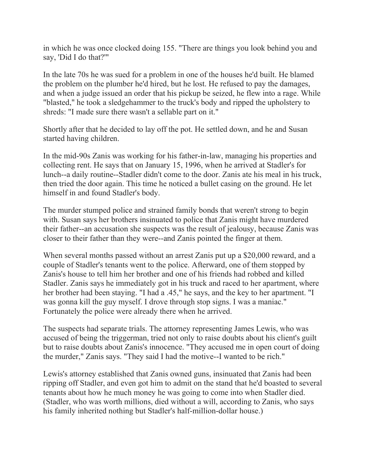in which he was once clocked doing 155. "There are things you look behind you and say, 'Did I do that?'"

In the late 70s he was sued for a problem in one of the houses he'd built. He blamed the problem on the plumber he'd hired, but he lost. He refused to pay the damages, and when a judge issued an order that his pickup be seized, he flew into a rage. While "blasted," he took a sledgehammer to the truck's body and ripped the upholstery to shreds: "I made sure there wasn't a sellable part on it."

Shortly after that he decided to lay off the pot. He settled down, and he and Susan started having children.

In the mid-90s Zanis was working for his father-in-law, managing his properties and collecting rent. He says that on January 15, 1996, when he arrived at Stadler's for lunch--a daily routine--Stadler didn't come to the door. Zanis ate his meal in his truck, then tried the door again. This time he noticed a bullet casing on the ground. He let himself in and found Stadler's body.

The murder stumped police and strained family bonds that weren't strong to begin with. Susan says her brothers insinuated to police that Zanis might have murdered their father--an accusation she suspects was the result of jealousy, because Zanis was closer to their father than they were--and Zanis pointed the finger at them.

When several months passed without an arrest Zanis put up a \$20,000 reward, and a couple of Stadler's tenants went to the police. Afterward, one of them stopped by Zanis's house to tell him her brother and one of his friends had robbed and killed Stadler. Zanis says he immediately got in his truck and raced to her apartment, where her brother had been staying. "I had a .45," he says, and the key to her apartment. "I was gonna kill the guy myself. I drove through stop signs. I was a maniac." Fortunately the police were already there when he arrived.

The suspects had separate trials. The attorney representing James Lewis, who was accused of being the triggerman, tried not only to raise doubts about his client's guilt but to raise doubts about Zanis's innocence. "They accused me in open court of doing the murder," Zanis says. "They said I had the motive--I wanted to be rich."

Lewis's attorney established that Zanis owned guns, insinuated that Zanis had been ripping off Stadler, and even got him to admit on the stand that he'd boasted to several tenants about how he much money he was going to come into when Stadler died. (Stadler, who was worth millions, died without a will, according to Zanis, who says his family inherited nothing but Stadler's half-million-dollar house.)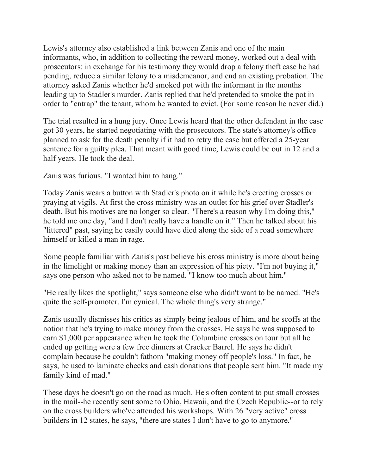Lewis's attorney also established a link between Zanis and one of the main informants, who, in addition to collecting the reward money, worked out a deal with prosecutors: in exchange for his testimony they would drop a felony theft case he had pending, reduce a similar felony to a misdemeanor, and end an existing probation. The attorney asked Zanis whether he'd smoked pot with the informant in the months leading up to Stadler's murder. Zanis replied that he'd pretended to smoke the pot in order to "entrap" the tenant, whom he wanted to evict. (For some reason he never did.)

The trial resulted in a hung jury. Once Lewis heard that the other defendant in the case got 30 years, he started negotiating with the prosecutors. The state's attorney's office planned to ask for the death penalty if it had to retry the case but offered a 25-year sentence for a guilty plea. That meant with good time, Lewis could be out in 12 and a half years. He took the deal.

Zanis was furious. "I wanted him to hang."

Today Zanis wears a button with Stadler's photo on it while he's erecting crosses or praying at vigils. At first the cross ministry was an outlet for his grief over Stadler's death. But his motives are no longer so clear. "There's a reason why I'm doing this," he told me one day, "and I don't really have a handle on it." Then he talked about his "littered" past, saying he easily could have died along the side of a road somewhere himself or killed a man in rage.

Some people familiar with Zanis's past believe his cross ministry is more about being in the limelight or making money than an expression of his piety. "I'm not buying it," says one person who asked not to be named. "I know too much about him."

"He really likes the spotlight," says someone else who didn't want to be named. "He's quite the self-promoter. I'm cynical. The whole thing's very strange."

Zanis usually dismisses his critics as simply being jealous of him, and he scoffs at the notion that he's trying to make money from the crosses. He says he was supposed to earn \$1,000 per appearance when he took the Columbine crosses on tour but all he ended up getting were a few free dinners at Cracker Barrel. He says he didn't complain because he couldn't fathom "making money off people's loss." In fact, he says, he used to laminate checks and cash donations that people sent him. "It made my family kind of mad."

These days he doesn't go on the road as much. He's often content to put small crosses in the mail--he recently sent some to Ohio, Hawaii, and the Czech Republic--or to rely on the cross builders who've attended his workshops. With 26 "very active" cross builders in 12 states, he says, "there are states I don't have to go to anymore."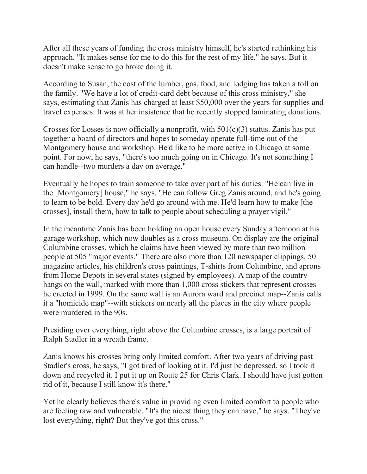After all these years of funding the cross ministry himself, he's started rethinking his approach. "It makes sense for me to do this for the rest of my life," he says. But it doesn't make sense to go broke doing it.

According to Susan, the cost of the lumber, gas, food, and lodging has taken a toll on the family. "We have a lot of credit-card debt because of this cross ministry," she says, estimating that Zanis has charged at least \$50,000 over the years for supplies and travel expenses. It was at her insistence that he recently stopped laminating donations.

Crosses for Losses is now officially a nonprofit, with  $501(c)(3)$  status. Zanis has put together a board of directors and hopes to someday operate full-time out of the Montgomery house and workshop. He'd like to be more active in Chicago at some point. For now, he says, "there's too much going on in Chicago. It's not something I can handle--two murders a day on average."

Eventually he hopes to train someone to take over part of his duties. "He can live in the [Montgomery] house," he says. "He can follow Greg Zanis around, and he's going to learn to be bold. Every day he'd go around with me. He'd learn how to make [the crosses], install them, how to talk to people about scheduling a prayer vigil."

In the meantime Zanis has been holding an open house every Sunday afternoon at his garage workshop, which now doubles as a cross museum. On display are the original Columbine crosses, which he claims have been viewed by more than two million people at 505 "major events." There are also more than 120 newspaper clippings, 50 magazine articles, his children's cross paintings, T-shirts from Columbine, and aprons from Home Depots in several states (signed by employees). A map of the country hangs on the wall, marked with more than 1,000 cross stickers that represent crosses he erected in 1999. On the same wall is an Aurora ward and precinct map--Zanis calls it a "homicide map"--with stickers on nearly all the places in the city where people were murdered in the 90s.

Presiding over everything, right above the Columbine crosses, is a large portrait of Ralph Stadler in a wreath frame.

Zanis knows his crosses bring only limited comfort. After two years of driving past Stadler's cross, he says, "I got tired of looking at it. I'd just be depressed, so I took it down and recycled it. I put it up on Route 25 for Chris Clark. I should have just gotten rid of it, because I still know it's there."

Yet he clearly believes there's value in providing even limited comfort to people who are feeling raw and vulnerable. "It's the nicest thing they can have," he says. "They've lost everything, right? But they've got this cross."